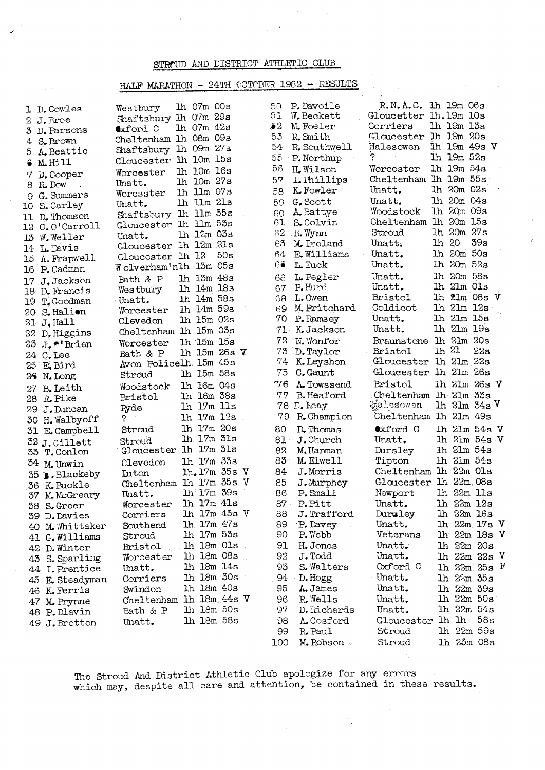## STROUD AND DISTRICT ATHLETIC CLUB

## HALF MARATHON - 24TH CCTCBER 1982 - RESULTS

|        | 1 D. Cowles     | Westbury                          | lh 07m 00s       |     | 50.        | P. Davoile        | R.N.A.C. 1h 19m 06s                |          |                      |     |  |
|--------|-----------------|-----------------------------------|------------------|-----|------------|-------------------|------------------------------------|----------|----------------------|-----|--|
|        | 2 J.Broe        | Shaftsbury 1h 07m 29s             |                  |     | 51         | W. Beckett        | Gloucetter lh. 19m 10s             |          |                      |     |  |
|        | 3 D. Parsons    | ●xford C                          | 1h 07m 42s       |     | 52         | M. Foeler         | Corriers                           |          | lh 19m 13s           |     |  |
|        | 4 S.Brown       | Cheltenham 1h 08m 09s             |                  |     | 53         | R. Smith          | Gloucester 1h 19m 20s              |          |                      |     |  |
| b.     | A. Beattie      | Shaftsbury 1h 09m 27s             |                  |     | 54         | R. Southwell      | Halesowen                          |          | 1h 19m 49s V         |     |  |
|        | M.Hill          | Gloucester 1h 10m 15s             |                  |     | 55         | P. Northup        | ?                                  |          | lh 19m 52s           |     |  |
| 7.     | D. Cooper       | Worcester                         | 1h 10m 16s       |     | 56         | H. Wilson         | Worcester                          |          | 1h 19m 54s           |     |  |
|        | 8 R.Dow         | Unatt.                            | lh 10m 27s       |     | 57         | I. Phillips       | Cheltenham lh 19m 55s              |          |                      |     |  |
| 9      | G. Summers      | Worcsster                         | lh llm 07s       |     | 58         | K. Fowler         | Unatt.                             |          | lh 20m 02s           |     |  |
| 10.    | S. Carley       | Unatt.                            | lh 11m 21s       |     | 59         | G. Scott          | Unatt.                             |          | lh 20m 04s           |     |  |
| 11     | D. Thomson      | Shaftsbury 1h 11m 35s             |                  |     | 60         | A. Battye         | Woodstock                          |          | lh 20m 09s           |     |  |
|        | 12 C.O'Carroll  | Gloucester 1h 11m 53s             |                  |     | 61         | S.Colvin          | Cheltenham 1h 20m 15s              |          |                      |     |  |
|        | 13 W. Weller    | Unatt.                            | lh 12m 03s       |     | 62         | -B. Wynn          | Stroud                             |          | lh 20m 27s           |     |  |
|        | 14 L. Davis     | Gloucester 1h 12m 21s             |                  |     | 63         | M. Ireland        | Unatt.                             | lh 20    |                      | 39a |  |
|        | A. Frapwell     | Gloucester 1h 12                  |                  | 50s | 64         | E. Williams       | Unatt.                             |          | lh 20m 50s           |     |  |
| 15     | 16 P.Cadman.    | Wolverham'nlh 13m 05s             |                  |     | 6€         | L. Tuck           | Unatt.                             |          | lh 20m 52s           |     |  |
|        |                 | Bath & P                          | lh 13m 48s       |     | 6ô         | L. Pegler         | Unatt.                             |          | lh 20m 58s           |     |  |
| 17     | J.Jackson       | Westbury                          | lh 14m 18s       |     | 67         | P.Hurd            | Unatt.                             |          | lh 21m Ols           |     |  |
| 18.    | D. Francis      | Unatt.                            | 1h 14m 58s       |     | 68         | L. Owen           | Bristol                            |          | lh 21m 08s V         |     |  |
| 19.    | T. Goodman      | Worcester                         | lh 14m 59s       |     | 69         | M. Pritchard      | Coldicot                           |          | lh 21m 12s           |     |  |
| 20-    | S. Halion       | Clevedon                          | lh 15m 02s       |     | 70         | P. Ramsey         | Unatt.                             |          | lh 21m 15s           |     |  |
| $21\,$ | $J$ , Hall      | Cheltenham lh 15m 03s             |                  |     | $71-$      | K. Jackson        | Unatt.                             |          | lh 21m 19s           |     |  |
| 22     | D. Higgins      |                                   | lh 15m 15s       |     | 72         | N. Wonfor         | <b>Braunstone</b>                  |          | lh 21m 20s           |     |  |
| 23     | J. *'Brien      | Worcester                         | lh 15m 26s V     |     | 73         | D. Taylor         | Bristol                            | $\ln 21$ |                      | 22s |  |
|        | 24 C. Lee       | Bath & P<br>Avon Policelh 15m 45s |                  |     | 74         | K. Leyshon        | Gloucester                         |          | lh 21m 22s           |     |  |
| 25     | E, Bird         |                                   | lh 15m 58s       |     | 75         | C. Gaunt          | Gloucester                         |          | lh 21m 26s           |     |  |
|        | 26 N. Long      | Stroud                            |                  |     | 76         | A Towssend        | Bristol                            |          | lh 21m 26s V         |     |  |
| 27     | B. Leith        | Woodstock                         | 1h 16m 04s       |     |            |                   |                                    |          |                      |     |  |
| 28.    | R. Pike         | <b>Bristol</b>                    | lh 16m 38s       |     | 77         | <b>B.</b> Heaford | Cheltenham 1h 21m 33s<br>Halesowen |          | $1h$ $21m$ $34s$ $V$ |     |  |
|        | 29 J.Duncan     | Ryde                              | lh 17m 11s       |     | 78         | $D$ . heay        | Cheltenham                         |          | lh 21m 49s           |     |  |
|        | 30 H.Walbyoff   | 2                                 | 1h 17m 12s       |     | 79         | R. Champion       |                                    |          |                      |     |  |
|        | 31 E. Campbell  | Stroud                            | 1h 17m 20s       |     | 80         | D. Thomas         | Oxford C                           |          | $lh$ 21m 54s V       |     |  |
|        | $32$ J.Gillett  | Stroud                            | 1h 17m 31s       |     | $81^\circ$ | J. Church         | Unatt.                             |          | $lh$ 21m 54s V       |     |  |
|        | 33 T.Conlon     | Gloucester                        | 1h 17m 31s       |     | 82         | M.Hanman          | Dursley                            |          | lh 21m 54s           |     |  |
|        | 34 M. Unwin     | Clevedon                          | 1h 17m 33s       |     | 83         | M.Elwell          | Tipton                             |          | lh 21m 54s           |     |  |
|        | 35 B.Blackeby   | <b>Luton</b>                      | lh.17m 35s V     |     | 84         | J.Morris          | Cheltenham lh 22m Ols              |          |                      |     |  |
|        | 36 K.Buckle     | Cheltenham                        | 1h 17m 35s V     |     | 85         | J. Murphey        | Gloucester 1h 22m.08s              |          |                      |     |  |
|        | 37 M. McGreary  | Unatt.                            | lh 17m 39s       |     | 86         | P. Small          | Newport                            |          | lh 22m 11s           |     |  |
|        | 38 S.Greer      | Worcester                         | lh 17m 41s       |     | 87         | P.Pitt            | Unatt.                             |          | lh 22m 12s           |     |  |
|        | 39 D. Davies    | Corriers                          | lh 17m 43s V     |     | 88         | J.Trafford        | Durwley                            |          | lh 22m 16s           |     |  |
|        | 40 M. Whittaker | Southend                          | lh 17m 47s       |     |            | 89 P. Davey       | Unatt.                             |          | lh 22m 17s V         |     |  |
|        | 41 G. Williams  | Stroud                            | lh 17m 53s       |     | 90         | P. Webb           | Veterans                           |          | lh 22m 18s V         |     |  |
|        | 42 D. Winter    | Bristol                           | $lh$ 18m $0ls$   |     | 91         | H. Jones          | Unatt.                             |          | $1h$ $22m$ $20s$     |     |  |
| 43     | S. Sparling     | Worcester                         | $1h$ $18m$ $08s$ |     | 92         | J.Todd            | Unatt.                             |          | $lh$ 22m 22s V       |     |  |
|        | 44 I. Prentice  | Unatt.                            | lh 18m 14s       |     | 93         | S. Walters        | Oxford C                           |          | $1h$ 22m 25s $F$     |     |  |
|        | 45 E. Steadyman | Corriers                          | lh 18m 30s       |     | 94         | D. Hogg           | Unatt.                             |          | lh 22m 35s           |     |  |
|        | 46 K. Ferris    | Swindon                           | 1h 18m 40s       |     | 95         | A. James          | Unatt.                             |          | lh 22m 39s           |     |  |
|        | 47 M. Prynne    | Cheltenham                        | 1h 18m 44s V     |     | 96         | R. Wells          | Unatt.                             |          | lh 22m 50s           |     |  |
|        | 48 P.Dlavin     | Bath & P                          | lh 18m 50s       |     | 97         | D. Richards       | Unatt.                             |          | lh 22m 54s           |     |  |
|        | 49 J. Brotton   | Unatt.                            | lh 18m 58s       |     | 98         | A. Cosford        | Gloucester 1h 1h                   |          |                      | 58s |  |
|        |                 |                                   |                  |     | 99         | R. Paul           | Stroud                             |          | lh 22m 59s           |     |  |
|        |                 |                                   |                  |     | 100        | M.Robson &        | Stroud                             |          | lh 23m 08s           |     |  |

The Stroud And District Athletic Club apologize for any errors<br>which may, despite all care and attention, be contained in these results.

 $\sim$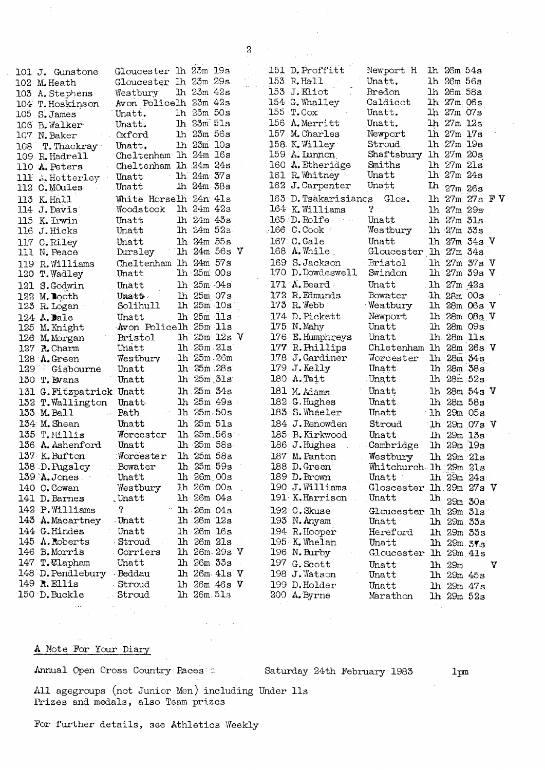| 101 J. Gunstone                                      | Gloucester 1h 23m 19s |                  |  | 151 D. Proffitt        | Newport H               |                | lh 26m 54s     |                     |   |
|------------------------------------------------------|-----------------------|------------------|--|------------------------|-------------------------|----------------|----------------|---------------------|---|
| 102 M. Heath                                         | Gloucester 1h 23m 29s |                  |  | 153 R. Hall            | Unatt.                  |                | lh 26m 56s     |                     |   |
| 103 A. Stephens                                      | Westbury              | lh 23m 42s       |  | 153 J.Eliot            | Bredon                  |                | lh 26m 58s     |                     |   |
| 104 T. Hoskinson                                     | Avon Policelh 23m 42s |                  |  | 154 G. Whalley         | Caldicot                |                | lh 27m 06s     |                     |   |
| 105 S. James                                         | Unatt.                | lh 23m 50s       |  | 155 T.Cox              | Unatt.                  |                | lh 27m 07s     |                     |   |
| 106 B. Walker                                        | Unatt.                | $1h$ $23m$ $51s$ |  | 156 A. Merritt         | Unatt.                  |                | $1h$ 27m $12s$ |                     |   |
| 107 N. Baker                                         | Oxford                | $1h$ $25m$ $56s$ |  | 157 M. Charles         | Newport                 |                | lh 27m 17s     |                     |   |
| 108 T. Thackray                                      | Unatt.                | lh 23m 10s       |  | 158 K. Willey          | Stroud                  |                | lh 27m 19s     |                     |   |
| 109 R. Hadrell                                       | Cheltenham lh 24m 16s |                  |  | $159$ A. Lunnon        | Shaftsbury              |                | lh 27m 20s     |                     |   |
| 110 A. Peters                                        | Cheltenham lh 24m 24s |                  |  | 160 A. Etheridge       | Smiths                  |                | lh 27m 21s     |                     |   |
| 111 A. Hotterley                                     | Unatt                 | - 1h 24m 37s     |  | 161 R. Whitney         | Unatt                   |                | lh 27m 24s     |                     |   |
| 112 C. MOules                                        | Unatt                 | lh 24m 38s       |  | 162 J. Carpenter       | Unatt                   | <b>Ih</b>      | 27m 26s        |                     |   |
| 113 K. Hall                                          | White Horselh 24n 41s |                  |  | 163 D. Tsakarisianos   | Glos.                   |                |                | 1h 27m 27s FV       |   |
| 114 J. Davis                                         | Woodstock             | $1h$ $24m$ $42s$ |  | 164 K. Williams        | $2 \times$              |                |                | lh 27m 29s          |   |
| 115 K. Irwin                                         | Unatt                 | lh 24m 43s       |  | 165 D.Rolfe            | Unatt                   |                | lh 27m 31s     |                     |   |
| 116 J. Hicks                                         | Unatt                 | lh 24m 52s       |  | $166$ C.Cook           | Westbury                |                | $1h$ 27m $33s$ |                     |   |
| 117 C.Riley                                          | Unatt                 | lh 24m 55s       |  | 167 C.Gale             | Unatt                   |                |                | lh 27m 34s V        |   |
| 111 N. Peace                                         | Dursley               | lh 24m 56s V     |  | 168 A.While            | Gloucester lh 27m 34s   |                |                |                     |   |
| 119 R. Williams                                      | Cheltenham lh 24m 57s |                  |  | 169 S. Jackson         | Bristol                 |                |                | lh 27m 37s V        |   |
| 120 T. Wadley                                        | Unatt                 | $1h$ 25 $m$ 00s  |  | 170 D.Dowdeswell       | Swindon                 |                |                | lh 27m 39s V        |   |
| 121 S. Godwin                                        | Unatt                 | $1h$ $25m$ $04s$ |  | 171 $A$ . Beard        | Unatt                   |                | lh 27m 42s     |                     |   |
| 122 M. Booth                                         | Unatt.                | lh 25m 07s       |  | 172 R. Edmunds         | Bowater                 |                |                | lh 28m 00s          |   |
| 123 R. Logan                                         | Solihull              | lh 25m 10s       |  | $173$ R. Webb          | Westbury                |                |                | $lh$ 28 $m$ 06s $V$ |   |
| 124 $\Lambda$ . Dale                                 | Unatt                 | lh 25m lls       |  | 174 D. Pickett         | Newport                 |                |                | $lh$ 28m $08s$ V    |   |
| 125 M. Knight                                        | Avon Policelh 25m lls |                  |  | 175 N. Mahy            | Unatt                   |                | lh 28m 09s     |                     |   |
| 126 M. Morgan                                        | Bristol               | $1h$ 25m $12s$ V |  | 176 E.Humphreys        | Unatt                   |                | 1h 28m 11s     |                     |   |
| $127$ $\lambda$ . Charm                              | Unatt                 | $1h$ $25m$ $21s$ |  | 177 R. Phillips        | Chletenham 1h 28m 26s V |                |                |                     |   |
| 128 A.Green                                          | Westbury              | 1h 25m 26m       |  | 178 J.Gardiner         | Worcester               |                |                | lh 28m 34s          |   |
| 129 Gisbourne                                        | Unatt                 | lh 25m 28s       |  | $179$ J. Kelly         | Unatt                   |                |                | lh 28m 38s          |   |
| 130 T. Evans                                         | Unatt                 | lh 25m 31s       |  | 180 A. Tait            | .Unatt                  |                | lh 28m 52s     |                     |   |
| 131 G. Fitzpatrick Unatt                             |                       | lh 25m 34s       |  | 181 M. Adams           | Unatt                   |                |                | 1h 28m 54s V        |   |
|                                                      | Unatt.                | lh 25m 49s       |  | 182 G. Hughes          | Unatt                   |                | lh 28m 58s     |                     |   |
| 132 T. Wallington<br>133 M. Ball<br>$\sim$ $\lambda$ | Bath                  | $lh$ 25m 50s     |  | 183 S. Wheeler         | Unatt                   |                |                | lh 29m 05s          |   |
|                                                      |                       | lh 25m 51s       |  |                        | Stroud                  |                |                |                     |   |
| 134 M. Shean                                         | Unatt                 |                  |  | 184 J.Renowden         |                         |                |                | $1h$ 29m 07s V      |   |
| 135 T. Millis                                        | Worcester             | $1h$ $25m$ $56s$ |  | 185 B. Kirkwood        | Unatt                   |                |                | $1h$ 29m $13s$      |   |
| 136 A. Ashenford                                     | Unatt                 | $lh$ $25m$ $58s$ |  | 186 J. Hughes          | Cambridge               |                |                | lh 29m 19s          |   |
| 137 K. Bufton                                        | Worcester             | lh 25m 58s       |  | 187 M. Panton          | Westbury                |                |                | lh 29m 21s          |   |
| 138 D. Pugsley                                       | Bowater               | lh 25m 59s       |  | 188 D.Green            | Whitchurch lh 29m 21s   |                |                |                     |   |
| $139$ A. Jones                                       | Unatt                 | lh 26m 00s       |  | 189 D. Brown           | Unatt                   |                |                | lh 29m 24s          |   |
| 140 C. Cowan                                         | Westbury              | 1h 26m 00s       |  | 190 J. Williams        | Gloscester lh 29m 27s V |                |                |                     |   |
| 141 D. Barnes                                        | . Unatt               | lh 26m 04s       |  | 191 K.Harrison         | Unatt                   | 1 <sub>h</sub> |                | 29m 30s             |   |
| 142 P. Williams                                      | ?                     | 1h.26m.04s.      |  | 192 C. Skuse           | Gloucester 1h 29m 31s   |                |                |                     |   |
| 143 A. Macartney                                     | . Unatt               | lh 26m 12s       |  | 193 N. Anyam           | Unatt                   |                |                | lh 29m 33s          |   |
| 144 G. Hindes                                        | Unatt                 | lh 26m 16s       |  | 194 R. Hooper          | Hereford                |                |                | lh 29m 33s          |   |
| 145 A. Roberts                                       | Stroud                | lh 26m 21s       |  | 195 K. Whelan          | Unatt                   |                |                | $1h$ 29m $37s$      |   |
| 146 B. Morris                                        | Corriers              | lh 26m 29s V     |  | 196 N. Burby           | Gloucester 1h 29m 41s   |                |                |                     |   |
| 147 T. Ulapham                                       | Unatt                 | lh 26m 33s       |  | 197 G. Scott           | Unatt                   |                | lh 29m         |                     | V |
| 148 D. Pendlebury Beddau                             |                       | $lh$ 26m $4ls$ V |  | 198 J.Watson           | Unatt                   |                | lh 29m 45s     |                     |   |
| 149 R.Ellis                                          | Stroud                | $lh$ 26m 46s $V$ |  | 199 D. Holder          | Unatt                   |                |                | lh 29m 47s          |   |
| 150 D. Buckle                                        | Stroud                | $lh$ 26m $5ls$   |  | $200 \text{ A.}$ Byrne | Marathon                |                |                | $1h$ $29m$ $52s$    |   |

## A Note For Your Diary

Annual Open Cross Country Races

Saturday 24th February 1983

 $1<sub>pm</sub>$ 

All agegroups (not Junior Men) including Under lls Prizes and medals, also Team prizes

For further details, see Athletics Weekly

 $\sim 10^{-11}$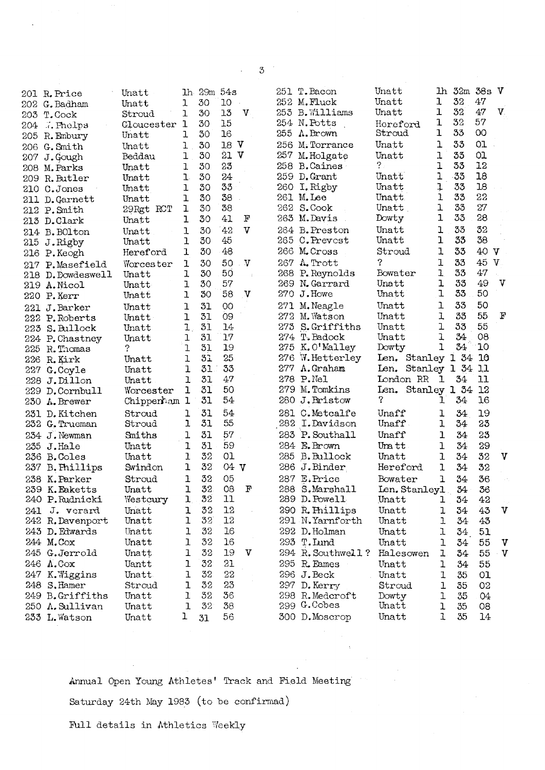|                   | Unatt                                                                                                                                                                                                                                                                                                                                                                                                                                                                                                                                                                                                                                                                                                                                                                                                |                                                                                                                                                                                                                                                                                                                           |                                                                                                                                                                                                        |                                                                                                                                                                                                                                                      |                                                                                                                                                                                                          |                                                                                                                     |           | Unatt                                                                                                                                                                                                                                                                                                                                                                                                                                                                                                                                                                                                                                                                                                                                                                                                                                                                       |                                                                                                                                                                                                                                                                                           |                                                                                                                                                                                                    |                                                                                                                                                                                                                                  |                                                                                                                                                                                                                                                                                                                               |
|-------------------|------------------------------------------------------------------------------------------------------------------------------------------------------------------------------------------------------------------------------------------------------------------------------------------------------------------------------------------------------------------------------------------------------------------------------------------------------------------------------------------------------------------------------------------------------------------------------------------------------------------------------------------------------------------------------------------------------------------------------------------------------------------------------------------------------|---------------------------------------------------------------------------------------------------------------------------------------------------------------------------------------------------------------------------------------------------------------------------------------------------------------------------|--------------------------------------------------------------------------------------------------------------------------------------------------------------------------------------------------------|------------------------------------------------------------------------------------------------------------------------------------------------------------------------------------------------------------------------------------------------------|----------------------------------------------------------------------------------------------------------------------------------------------------------------------------------------------------------|---------------------------------------------------------------------------------------------------------------------|-----------|-----------------------------------------------------------------------------------------------------------------------------------------------------------------------------------------------------------------------------------------------------------------------------------------------------------------------------------------------------------------------------------------------------------------------------------------------------------------------------------------------------------------------------------------------------------------------------------------------------------------------------------------------------------------------------------------------------------------------------------------------------------------------------------------------------------------------------------------------------------------------------|-------------------------------------------------------------------------------------------------------------------------------------------------------------------------------------------------------------------------------------------------------------------------------------------|----------------------------------------------------------------------------------------------------------------------------------------------------------------------------------------------------|----------------------------------------------------------------------------------------------------------------------------------------------------------------------------------------------------------------------------------|-------------------------------------------------------------------------------------------------------------------------------------------------------------------------------------------------------------------------------------------------------------------------------------------------------------------------------|
|                   |                                                                                                                                                                                                                                                                                                                                                                                                                                                                                                                                                                                                                                                                                                                                                                                                      |                                                                                                                                                                                                                                                                                                                           |                                                                                                                                                                                                        |                                                                                                                                                                                                                                                      |                                                                                                                                                                                                          |                                                                                                                     |           |                                                                                                                                                                                                                                                                                                                                                                                                                                                                                                                                                                                                                                                                                                                                                                                                                                                                             |                                                                                                                                                                                                                                                                                           |                                                                                                                                                                                                    |                                                                                                                                                                                                                                  |                                                                                                                                                                                                                                                                                                                               |
| T.Cock            | Stroud                                                                                                                                                                                                                                                                                                                                                                                                                                                                                                                                                                                                                                                                                                                                                                                               |                                                                                                                                                                                                                                                                                                                           |                                                                                                                                                                                                        |                                                                                                                                                                                                                                                      |                                                                                                                                                                                                          |                                                                                                                     |           |                                                                                                                                                                                                                                                                                                                                                                                                                                                                                                                                                                                                                                                                                                                                                                                                                                                                             |                                                                                                                                                                                                                                                                                           |                                                                                                                                                                                                    |                                                                                                                                                                                                                                  | V.                                                                                                                                                                                                                                                                                                                            |
|                   | Gloucester                                                                                                                                                                                                                                                                                                                                                                                                                                                                                                                                                                                                                                                                                                                                                                                           |                                                                                                                                                                                                                                                                                                                           |                                                                                                                                                                                                        |                                                                                                                                                                                                                                                      |                                                                                                                                                                                                          |                                                                                                                     |           |                                                                                                                                                                                                                                                                                                                                                                                                                                                                                                                                                                                                                                                                                                                                                                                                                                                                             |                                                                                                                                                                                                                                                                                           |                                                                                                                                                                                                    |                                                                                                                                                                                                                                  |                                                                                                                                                                                                                                                                                                                               |
| R. Embury         | Unatt                                                                                                                                                                                                                                                                                                                                                                                                                                                                                                                                                                                                                                                                                                                                                                                                |                                                                                                                                                                                                                                                                                                                           |                                                                                                                                                                                                        |                                                                                                                                                                                                                                                      |                                                                                                                                                                                                          |                                                                                                                     |           |                                                                                                                                                                                                                                                                                                                                                                                                                                                                                                                                                                                                                                                                                                                                                                                                                                                                             |                                                                                                                                                                                                                                                                                           |                                                                                                                                                                                                    |                                                                                                                                                                                                                                  |                                                                                                                                                                                                                                                                                                                               |
|                   | Unatt                                                                                                                                                                                                                                                                                                                                                                                                                                                                                                                                                                                                                                                                                                                                                                                                | ı                                                                                                                                                                                                                                                                                                                         |                                                                                                                                                                                                        |                                                                                                                                                                                                                                                      |                                                                                                                                                                                                          |                                                                                                                     |           |                                                                                                                                                                                                                                                                                                                                                                                                                                                                                                                                                                                                                                                                                                                                                                                                                                                                             |                                                                                                                                                                                                                                                                                           |                                                                                                                                                                                                    |                                                                                                                                                                                                                                  |                                                                                                                                                                                                                                                                                                                               |
|                   | Beddau                                                                                                                                                                                                                                                                                                                                                                                                                                                                                                                                                                                                                                                                                                                                                                                               | ı                                                                                                                                                                                                                                                                                                                         |                                                                                                                                                                                                        |                                                                                                                                                                                                                                                      |                                                                                                                                                                                                          |                                                                                                                     | M.Holgate | Unatt                                                                                                                                                                                                                                                                                                                                                                                                                                                                                                                                                                                                                                                                                                                                                                                                                                                                       | ı                                                                                                                                                                                                                                                                                         |                                                                                                                                                                                                    |                                                                                                                                                                                                                                  |                                                                                                                                                                                                                                                                                                                               |
|                   | Unatt                                                                                                                                                                                                                                                                                                                                                                                                                                                                                                                                                                                                                                                                                                                                                                                                | ı                                                                                                                                                                                                                                                                                                                         | 30                                                                                                                                                                                                     |                                                                                                                                                                                                                                                      |                                                                                                                                                                                                          |                                                                                                                     |           |                                                                                                                                                                                                                                                                                                                                                                                                                                                                                                                                                                                                                                                                                                                                                                                                                                                                             | 1                                                                                                                                                                                                                                                                                         |                                                                                                                                                                                                    |                                                                                                                                                                                                                                  |                                                                                                                                                                                                                                                                                                                               |
|                   | Unatt                                                                                                                                                                                                                                                                                                                                                                                                                                                                                                                                                                                                                                                                                                                                                                                                | ı.                                                                                                                                                                                                                                                                                                                        | 30                                                                                                                                                                                                     | 24                                                                                                                                                                                                                                                   |                                                                                                                                                                                                          |                                                                                                                     |           | Unatt                                                                                                                                                                                                                                                                                                                                                                                                                                                                                                                                                                                                                                                                                                                                                                                                                                                                       | ı                                                                                                                                                                                                                                                                                         |                                                                                                                                                                                                    |                                                                                                                                                                                                                                  |                                                                                                                                                                                                                                                                                                                               |
|                   | Unatt                                                                                                                                                                                                                                                                                                                                                                                                                                                                                                                                                                                                                                                                                                                                                                                                | 1                                                                                                                                                                                                                                                                                                                         | 30                                                                                                                                                                                                     | 33                                                                                                                                                                                                                                                   |                                                                                                                                                                                                          |                                                                                                                     |           | Unatt                                                                                                                                                                                                                                                                                                                                                                                                                                                                                                                                                                                                                                                                                                                                                                                                                                                                       | ļ                                                                                                                                                                                                                                                                                         |                                                                                                                                                                                                    | 18                                                                                                                                                                                                                               |                                                                                                                                                                                                                                                                                                                               |
|                   | Unatt                                                                                                                                                                                                                                                                                                                                                                                                                                                                                                                                                                                                                                                                                                                                                                                                | ı                                                                                                                                                                                                                                                                                                                         | 30                                                                                                                                                                                                     | 38                                                                                                                                                                                                                                                   |                                                                                                                                                                                                          |                                                                                                                     |           | Unatt.                                                                                                                                                                                                                                                                                                                                                                                                                                                                                                                                                                                                                                                                                                                                                                                                                                                                      | ı                                                                                                                                                                                                                                                                                         |                                                                                                                                                                                                    |                                                                                                                                                                                                                                  |                                                                                                                                                                                                                                                                                                                               |
|                   |                                                                                                                                                                                                                                                                                                                                                                                                                                                                                                                                                                                                                                                                                                                                                                                                      | ı                                                                                                                                                                                                                                                                                                                         | 30                                                                                                                                                                                                     | 38                                                                                                                                                                                                                                                   |                                                                                                                                                                                                          |                                                                                                                     |           | Unatt                                                                                                                                                                                                                                                                                                                                                                                                                                                                                                                                                                                                                                                                                                                                                                                                                                                                       | ı                                                                                                                                                                                                                                                                                         |                                                                                                                                                                                                    |                                                                                                                                                                                                                                  |                                                                                                                                                                                                                                                                                                                               |
|                   | Unatt                                                                                                                                                                                                                                                                                                                                                                                                                                                                                                                                                                                                                                                                                                                                                                                                | ı                                                                                                                                                                                                                                                                                                                         | 30                                                                                                                                                                                                     | 41                                                                                                                                                                                                                                                   | F                                                                                                                                                                                                        |                                                                                                                     |           | Dowty                                                                                                                                                                                                                                                                                                                                                                                                                                                                                                                                                                                                                                                                                                                                                                                                                                                                       | ı                                                                                                                                                                                                                                                                                         |                                                                                                                                                                                                    |                                                                                                                                                                                                                                  |                                                                                                                                                                                                                                                                                                                               |
|                   |                                                                                                                                                                                                                                                                                                                                                                                                                                                                                                                                                                                                                                                                                                                                                                                                      | 1                                                                                                                                                                                                                                                                                                                         | 30                                                                                                                                                                                                     | 42                                                                                                                                                                                                                                                   | v                                                                                                                                                                                                        |                                                                                                                     |           | Unatt                                                                                                                                                                                                                                                                                                                                                                                                                                                                                                                                                                                                                                                                                                                                                                                                                                                                       | ı                                                                                                                                                                                                                                                                                         | 33                                                                                                                                                                                                 | 32                                                                                                                                                                                                                               |                                                                                                                                                                                                                                                                                                                               |
|                   |                                                                                                                                                                                                                                                                                                                                                                                                                                                                                                                                                                                                                                                                                                                                                                                                      |                                                                                                                                                                                                                                                                                                                           | 30                                                                                                                                                                                                     | 45                                                                                                                                                                                                                                                   |                                                                                                                                                                                                          |                                                                                                                     |           | Unatt                                                                                                                                                                                                                                                                                                                                                                                                                                                                                                                                                                                                                                                                                                                                                                                                                                                                       | ı                                                                                                                                                                                                                                                                                         | 33                                                                                                                                                                                                 | 38                                                                                                                                                                                                                               |                                                                                                                                                                                                                                                                                                                               |
|                   |                                                                                                                                                                                                                                                                                                                                                                                                                                                                                                                                                                                                                                                                                                                                                                                                      | ı                                                                                                                                                                                                                                                                                                                         | 30                                                                                                                                                                                                     | 48                                                                                                                                                                                                                                                   |                                                                                                                                                                                                          |                                                                                                                     |           |                                                                                                                                                                                                                                                                                                                                                                                                                                                                                                                                                                                                                                                                                                                                                                                                                                                                             | ı                                                                                                                                                                                                                                                                                         | 33                                                                                                                                                                                                 | 40 V                                                                                                                                                                                                                             |                                                                                                                                                                                                                                                                                                                               |
|                   |                                                                                                                                                                                                                                                                                                                                                                                                                                                                                                                                                                                                                                                                                                                                                                                                      |                                                                                                                                                                                                                                                                                                                           |                                                                                                                                                                                                        |                                                                                                                                                                                                                                                      |                                                                                                                                                                                                          |                                                                                                                     |           | ş                                                                                                                                                                                                                                                                                                                                                                                                                                                                                                                                                                                                                                                                                                                                                                                                                                                                           |                                                                                                                                                                                                                                                                                           |                                                                                                                                                                                                    |                                                                                                                                                                                                                                  |                                                                                                                                                                                                                                                                                                                               |
|                   |                                                                                                                                                                                                                                                                                                                                                                                                                                                                                                                                                                                                                                                                                                                                                                                                      |                                                                                                                                                                                                                                                                                                                           |                                                                                                                                                                                                        |                                                                                                                                                                                                                                                      |                                                                                                                                                                                                          |                                                                                                                     |           |                                                                                                                                                                                                                                                                                                                                                                                                                                                                                                                                                                                                                                                                                                                                                                                                                                                                             |                                                                                                                                                                                                                                                                                           |                                                                                                                                                                                                    |                                                                                                                                                                                                                                  |                                                                                                                                                                                                                                                                                                                               |
|                   |                                                                                                                                                                                                                                                                                                                                                                                                                                                                                                                                                                                                                                                                                                                                                                                                      |                                                                                                                                                                                                                                                                                                                           |                                                                                                                                                                                                        |                                                                                                                                                                                                                                                      |                                                                                                                                                                                                          |                                                                                                                     |           |                                                                                                                                                                                                                                                                                                                                                                                                                                                                                                                                                                                                                                                                                                                                                                                                                                                                             |                                                                                                                                                                                                                                                                                           |                                                                                                                                                                                                    |                                                                                                                                                                                                                                  | $\mathbf v$                                                                                                                                                                                                                                                                                                                   |
|                   |                                                                                                                                                                                                                                                                                                                                                                                                                                                                                                                                                                                                                                                                                                                                                                                                      |                                                                                                                                                                                                                                                                                                                           |                                                                                                                                                                                                        |                                                                                                                                                                                                                                                      |                                                                                                                                                                                                          |                                                                                                                     |           |                                                                                                                                                                                                                                                                                                                                                                                                                                                                                                                                                                                                                                                                                                                                                                                                                                                                             |                                                                                                                                                                                                                                                                                           |                                                                                                                                                                                                    |                                                                                                                                                                                                                                  |                                                                                                                                                                                                                                                                                                                               |
|                   |                                                                                                                                                                                                                                                                                                                                                                                                                                                                                                                                                                                                                                                                                                                                                                                                      |                                                                                                                                                                                                                                                                                                                           |                                                                                                                                                                                                        |                                                                                                                                                                                                                                                      |                                                                                                                                                                                                          |                                                                                                                     |           |                                                                                                                                                                                                                                                                                                                                                                                                                                                                                                                                                                                                                                                                                                                                                                                                                                                                             |                                                                                                                                                                                                                                                                                           |                                                                                                                                                                                                    |                                                                                                                                                                                                                                  |                                                                                                                                                                                                                                                                                                                               |
|                   |                                                                                                                                                                                                                                                                                                                                                                                                                                                                                                                                                                                                                                                                                                                                                                                                      |                                                                                                                                                                                                                                                                                                                           |                                                                                                                                                                                                        |                                                                                                                                                                                                                                                      |                                                                                                                                                                                                          |                                                                                                                     |           |                                                                                                                                                                                                                                                                                                                                                                                                                                                                                                                                                                                                                                                                                                                                                                                                                                                                             |                                                                                                                                                                                                                                                                                           |                                                                                                                                                                                                    |                                                                                                                                                                                                                                  | $\mathbf F$                                                                                                                                                                                                                                                                                                                   |
|                   |                                                                                                                                                                                                                                                                                                                                                                                                                                                                                                                                                                                                                                                                                                                                                                                                      |                                                                                                                                                                                                                                                                                                                           |                                                                                                                                                                                                        |                                                                                                                                                                                                                                                      |                                                                                                                                                                                                          |                                                                                                                     |           |                                                                                                                                                                                                                                                                                                                                                                                                                                                                                                                                                                                                                                                                                                                                                                                                                                                                             |                                                                                                                                                                                                                                                                                           |                                                                                                                                                                                                    |                                                                                                                                                                                                                                  |                                                                                                                                                                                                                                                                                                                               |
|                   |                                                                                                                                                                                                                                                                                                                                                                                                                                                                                                                                                                                                                                                                                                                                                                                                      |                                                                                                                                                                                                                                                                                                                           |                                                                                                                                                                                                        |                                                                                                                                                                                                                                                      |                                                                                                                                                                                                          |                                                                                                                     |           |                                                                                                                                                                                                                                                                                                                                                                                                                                                                                                                                                                                                                                                                                                                                                                                                                                                                             |                                                                                                                                                                                                                                                                                           |                                                                                                                                                                                                    |                                                                                                                                                                                                                                  |                                                                                                                                                                                                                                                                                                                               |
|                   |                                                                                                                                                                                                                                                                                                                                                                                                                                                                                                                                                                                                                                                                                                                                                                                                      |                                                                                                                                                                                                                                                                                                                           |                                                                                                                                                                                                        |                                                                                                                                                                                                                                                      |                                                                                                                                                                                                          |                                                                                                                     |           |                                                                                                                                                                                                                                                                                                                                                                                                                                                                                                                                                                                                                                                                                                                                                                                                                                                                             |                                                                                                                                                                                                                                                                                           |                                                                                                                                                                                                    |                                                                                                                                                                                                                                  |                                                                                                                                                                                                                                                                                                                               |
|                   |                                                                                                                                                                                                                                                                                                                                                                                                                                                                                                                                                                                                                                                                                                                                                                                                      |                                                                                                                                                                                                                                                                                                                           |                                                                                                                                                                                                        |                                                                                                                                                                                                                                                      |                                                                                                                                                                                                          |                                                                                                                     |           |                                                                                                                                                                                                                                                                                                                                                                                                                                                                                                                                                                                                                                                                                                                                                                                                                                                                             |                                                                                                                                                                                                                                                                                           |                                                                                                                                                                                                    |                                                                                                                                                                                                                                  |                                                                                                                                                                                                                                                                                                                               |
|                   |                                                                                                                                                                                                                                                                                                                                                                                                                                                                                                                                                                                                                                                                                                                                                                                                      |                                                                                                                                                                                                                                                                                                                           |                                                                                                                                                                                                        |                                                                                                                                                                                                                                                      |                                                                                                                                                                                                          |                                                                                                                     |           |                                                                                                                                                                                                                                                                                                                                                                                                                                                                                                                                                                                                                                                                                                                                                                                                                                                                             |                                                                                                                                                                                                                                                                                           |                                                                                                                                                                                                    |                                                                                                                                                                                                                                  |                                                                                                                                                                                                                                                                                                                               |
|                   |                                                                                                                                                                                                                                                                                                                                                                                                                                                                                                                                                                                                                                                                                                                                                                                                      |                                                                                                                                                                                                                                                                                                                           |                                                                                                                                                                                                        |                                                                                                                                                                                                                                                      |                                                                                                                                                                                                          |                                                                                                                     |           |                                                                                                                                                                                                                                                                                                                                                                                                                                                                                                                                                                                                                                                                                                                                                                                                                                                                             |                                                                                                                                                                                                                                                                                           |                                                                                                                                                                                                    |                                                                                                                                                                                                                                  |                                                                                                                                                                                                                                                                                                                               |
|                   |                                                                                                                                                                                                                                                                                                                                                                                                                                                                                                                                                                                                                                                                                                                                                                                                      |                                                                                                                                                                                                                                                                                                                           |                                                                                                                                                                                                        |                                                                                                                                                                                                                                                      |                                                                                                                                                                                                          |                                                                                                                     |           |                                                                                                                                                                                                                                                                                                                                                                                                                                                                                                                                                                                                                                                                                                                                                                                                                                                                             |                                                                                                                                                                                                                                                                                           |                                                                                                                                                                                                    |                                                                                                                                                                                                                                  |                                                                                                                                                                                                                                                                                                                               |
|                   |                                                                                                                                                                                                                                                                                                                                                                                                                                                                                                                                                                                                                                                                                                                                                                                                      |                                                                                                                                                                                                                                                                                                                           |                                                                                                                                                                                                        |                                                                                                                                                                                                                                                      |                                                                                                                                                                                                          |                                                                                                                     |           |                                                                                                                                                                                                                                                                                                                                                                                                                                                                                                                                                                                                                                                                                                                                                                                                                                                                             |                                                                                                                                                                                                                                                                                           |                                                                                                                                                                                                    |                                                                                                                                                                                                                                  |                                                                                                                                                                                                                                                                                                                               |
|                   |                                                                                                                                                                                                                                                                                                                                                                                                                                                                                                                                                                                                                                                                                                                                                                                                      |                                                                                                                                                                                                                                                                                                                           |                                                                                                                                                                                                        |                                                                                                                                                                                                                                                      |                                                                                                                                                                                                          |                                                                                                                     |           |                                                                                                                                                                                                                                                                                                                                                                                                                                                                                                                                                                                                                                                                                                                                                                                                                                                                             |                                                                                                                                                                                                                                                                                           |                                                                                                                                                                                                    |                                                                                                                                                                                                                                  |                                                                                                                                                                                                                                                                                                                               |
|                   |                                                                                                                                                                                                                                                                                                                                                                                                                                                                                                                                                                                                                                                                                                                                                                                                      |                                                                                                                                                                                                                                                                                                                           |                                                                                                                                                                                                        |                                                                                                                                                                                                                                                      |                                                                                                                                                                                                          |                                                                                                                     |           |                                                                                                                                                                                                                                                                                                                                                                                                                                                                                                                                                                                                                                                                                                                                                                                                                                                                             |                                                                                                                                                                                                                                                                                           |                                                                                                                                                                                                    |                                                                                                                                                                                                                                  |                                                                                                                                                                                                                                                                                                                               |
|                   |                                                                                                                                                                                                                                                                                                                                                                                                                                                                                                                                                                                                                                                                                                                                                                                                      |                                                                                                                                                                                                                                                                                                                           |                                                                                                                                                                                                        |                                                                                                                                                                                                                                                      |                                                                                                                                                                                                          |                                                                                                                     |           |                                                                                                                                                                                                                                                                                                                                                                                                                                                                                                                                                                                                                                                                                                                                                                                                                                                                             |                                                                                                                                                                                                                                                                                           |                                                                                                                                                                                                    |                                                                                                                                                                                                                                  |                                                                                                                                                                                                                                                                                                                               |
|                   |                                                                                                                                                                                                                                                                                                                                                                                                                                                                                                                                                                                                                                                                                                                                                                                                      |                                                                                                                                                                                                                                                                                                                           |                                                                                                                                                                                                        |                                                                                                                                                                                                                                                      |                                                                                                                                                                                                          |                                                                                                                     |           |                                                                                                                                                                                                                                                                                                                                                                                                                                                                                                                                                                                                                                                                                                                                                                                                                                                                             |                                                                                                                                                                                                                                                                                           |                                                                                                                                                                                                    |                                                                                                                                                                                                                                  |                                                                                                                                                                                                                                                                                                                               |
|                   |                                                                                                                                                                                                                                                                                                                                                                                                                                                                                                                                                                                                                                                                                                                                                                                                      |                                                                                                                                                                                                                                                                                                                           |                                                                                                                                                                                                        |                                                                                                                                                                                                                                                      |                                                                                                                                                                                                          |                                                                                                                     |           |                                                                                                                                                                                                                                                                                                                                                                                                                                                                                                                                                                                                                                                                                                                                                                                                                                                                             |                                                                                                                                                                                                                                                                                           |                                                                                                                                                                                                    |                                                                                                                                                                                                                                  |                                                                                                                                                                                                                                                                                                                               |
|                   |                                                                                                                                                                                                                                                                                                                                                                                                                                                                                                                                                                                                                                                                                                                                                                                                      |                                                                                                                                                                                                                                                                                                                           |                                                                                                                                                                                                        |                                                                                                                                                                                                                                                      |                                                                                                                                                                                                          |                                                                                                                     |           |                                                                                                                                                                                                                                                                                                                                                                                                                                                                                                                                                                                                                                                                                                                                                                                                                                                                             |                                                                                                                                                                                                                                                                                           |                                                                                                                                                                                                    |                                                                                                                                                                                                                                  | $\mathbf v$                                                                                                                                                                                                                                                                                                                   |
|                   |                                                                                                                                                                                                                                                                                                                                                                                                                                                                                                                                                                                                                                                                                                                                                                                                      |                                                                                                                                                                                                                                                                                                                           |                                                                                                                                                                                                        |                                                                                                                                                                                                                                                      |                                                                                                                                                                                                          |                                                                                                                     |           |                                                                                                                                                                                                                                                                                                                                                                                                                                                                                                                                                                                                                                                                                                                                                                                                                                                                             |                                                                                                                                                                                                                                                                                           |                                                                                                                                                                                                    |                                                                                                                                                                                                                                  |                                                                                                                                                                                                                                                                                                                               |
|                   |                                                                                                                                                                                                                                                                                                                                                                                                                                                                                                                                                                                                                                                                                                                                                                                                      |                                                                                                                                                                                                                                                                                                                           |                                                                                                                                                                                                        |                                                                                                                                                                                                                                                      |                                                                                                                                                                                                          |                                                                                                                     |           |                                                                                                                                                                                                                                                                                                                                                                                                                                                                                                                                                                                                                                                                                                                                                                                                                                                                             |                                                                                                                                                                                                                                                                                           |                                                                                                                                                                                                    |                                                                                                                                                                                                                                  |                                                                                                                                                                                                                                                                                                                               |
|                   |                                                                                                                                                                                                                                                                                                                                                                                                                                                                                                                                                                                                                                                                                                                                                                                                      |                                                                                                                                                                                                                                                                                                                           |                                                                                                                                                                                                        |                                                                                                                                                                                                                                                      |                                                                                                                                                                                                          |                                                                                                                     |           |                                                                                                                                                                                                                                                                                                                                                                                                                                                                                                                                                                                                                                                                                                                                                                                                                                                                             |                                                                                                                                                                                                                                                                                           |                                                                                                                                                                                                    |                                                                                                                                                                                                                                  |                                                                                                                                                                                                                                                                                                                               |
|                   |                                                                                                                                                                                                                                                                                                                                                                                                                                                                                                                                                                                                                                                                                                                                                                                                      |                                                                                                                                                                                                                                                                                                                           |                                                                                                                                                                                                        |                                                                                                                                                                                                                                                      |                                                                                                                                                                                                          |                                                                                                                     |           |                                                                                                                                                                                                                                                                                                                                                                                                                                                                                                                                                                                                                                                                                                                                                                                                                                                                             |                                                                                                                                                                                                                                                                                           |                                                                                                                                                                                                    |                                                                                                                                                                                                                                  |                                                                                                                                                                                                                                                                                                                               |
|                   |                                                                                                                                                                                                                                                                                                                                                                                                                                                                                                                                                                                                                                                                                                                                                                                                      |                                                                                                                                                                                                                                                                                                                           |                                                                                                                                                                                                        |                                                                                                                                                                                                                                                      |                                                                                                                                                                                                          |                                                                                                                     |           |                                                                                                                                                                                                                                                                                                                                                                                                                                                                                                                                                                                                                                                                                                                                                                                                                                                                             |                                                                                                                                                                                                                                                                                           |                                                                                                                                                                                                    |                                                                                                                                                                                                                                  | $\mathbf v$                                                                                                                                                                                                                                                                                                                   |
|                   |                                                                                                                                                                                                                                                                                                                                                                                                                                                                                                                                                                                                                                                                                                                                                                                                      |                                                                                                                                                                                                                                                                                                                           |                                                                                                                                                                                                        |                                                                                                                                                                                                                                                      |                                                                                                                                                                                                          |                                                                                                                     |           |                                                                                                                                                                                                                                                                                                                                                                                                                                                                                                                                                                                                                                                                                                                                                                                                                                                                             |                                                                                                                                                                                                                                                                                           |                                                                                                                                                                                                    |                                                                                                                                                                                                                                  |                                                                                                                                                                                                                                                                                                                               |
|                   |                                                                                                                                                                                                                                                                                                                                                                                                                                                                                                                                                                                                                                                                                                                                                                                                      |                                                                                                                                                                                                                                                                                                                           |                                                                                                                                                                                                        |                                                                                                                                                                                                                                                      |                                                                                                                                                                                                          |                                                                                                                     |           |                                                                                                                                                                                                                                                                                                                                                                                                                                                                                                                                                                                                                                                                                                                                                                                                                                                                             |                                                                                                                                                                                                                                                                                           |                                                                                                                                                                                                    |                                                                                                                                                                                                                                  |                                                                                                                                                                                                                                                                                                                               |
|                   |                                                                                                                                                                                                                                                                                                                                                                                                                                                                                                                                                                                                                                                                                                                                                                                                      |                                                                                                                                                                                                                                                                                                                           |                                                                                                                                                                                                        |                                                                                                                                                                                                                                                      |                                                                                                                                                                                                          |                                                                                                                     |           |                                                                                                                                                                                                                                                                                                                                                                                                                                                                                                                                                                                                                                                                                                                                                                                                                                                                             |                                                                                                                                                                                                                                                                                           |                                                                                                                                                                                                    |                                                                                                                                                                                                                                  | V                                                                                                                                                                                                                                                                                                                             |
|                   |                                                                                                                                                                                                                                                                                                                                                                                                                                                                                                                                                                                                                                                                                                                                                                                                      |                                                                                                                                                                                                                                                                                                                           |                                                                                                                                                                                                        |                                                                                                                                                                                                                                                      |                                                                                                                                                                                                          |                                                                                                                     |           |                                                                                                                                                                                                                                                                                                                                                                                                                                                                                                                                                                                                                                                                                                                                                                                                                                                                             | ı                                                                                                                                                                                                                                                                                         |                                                                                                                                                                                                    |                                                                                                                                                                                                                                  | $\mathbf{v}$                                                                                                                                                                                                                                                                                                                  |
|                   |                                                                                                                                                                                                                                                                                                                                                                                                                                                                                                                                                                                                                                                                                                                                                                                                      |                                                                                                                                                                                                                                                                                                                           |                                                                                                                                                                                                        |                                                                                                                                                                                                                                                      |                                                                                                                                                                                                          |                                                                                                                     |           | Unatt                                                                                                                                                                                                                                                                                                                                                                                                                                                                                                                                                                                                                                                                                                                                                                                                                                                                       | ı                                                                                                                                                                                                                                                                                         |                                                                                                                                                                                                    |                                                                                                                                                                                                                                  |                                                                                                                                                                                                                                                                                                                               |
|                   | Unatt                                                                                                                                                                                                                                                                                                                                                                                                                                                                                                                                                                                                                                                                                                                                                                                                | ı                                                                                                                                                                                                                                                                                                                         |                                                                                                                                                                                                        |                                                                                                                                                                                                                                                      |                                                                                                                                                                                                          |                                                                                                                     |           | Unatt                                                                                                                                                                                                                                                                                                                                                                                                                                                                                                                                                                                                                                                                                                                                                                                                                                                                       | ı                                                                                                                                                                                                                                                                                         | 35                                                                                                                                                                                                 | 01                                                                                                                                                                                                                               |                                                                                                                                                                                                                                                                                                                               |
| S.Hamer           | Stroud                                                                                                                                                                                                                                                                                                                                                                                                                                                                                                                                                                                                                                                                                                                                                                                               | ı                                                                                                                                                                                                                                                                                                                         |                                                                                                                                                                                                        |                                                                                                                                                                                                                                                      |                                                                                                                                                                                                          |                                                                                                                     |           | Stroud                                                                                                                                                                                                                                                                                                                                                                                                                                                                                                                                                                                                                                                                                                                                                                                                                                                                      | ı                                                                                                                                                                                                                                                                                         | 35                                                                                                                                                                                                 | 02                                                                                                                                                                                                                               |                                                                                                                                                                                                                                                                                                                               |
|                   | Unatt                                                                                                                                                                                                                                                                                                                                                                                                                                                                                                                                                                                                                                                                                                                                                                                                | ı                                                                                                                                                                                                                                                                                                                         |                                                                                                                                                                                                        |                                                                                                                                                                                                                                                      |                                                                                                                                                                                                          |                                                                                                                     |           | Dowty                                                                                                                                                                                                                                                                                                                                                                                                                                                                                                                                                                                                                                                                                                                                                                                                                                                                       | ı                                                                                                                                                                                                                                                                                         | 35                                                                                                                                                                                                 | 04                                                                                                                                                                                                                               |                                                                                                                                                                                                                                                                                                                               |
|                   | Unatt                                                                                                                                                                                                                                                                                                                                                                                                                                                                                                                                                                                                                                                                                                                                                                                                | 1                                                                                                                                                                                                                                                                                                                         |                                                                                                                                                                                                        | 38                                                                                                                                                                                                                                                   |                                                                                                                                                                                                          |                                                                                                                     |           | Unatt                                                                                                                                                                                                                                                                                                                                                                                                                                                                                                                                                                                                                                                                                                                                                                                                                                                                       | ı                                                                                                                                                                                                                                                                                         | 35                                                                                                                                                                                                 | 08                                                                                                                                                                                                                               |                                                                                                                                                                                                                                                                                                                               |
|                   | Unatt                                                                                                                                                                                                                                                                                                                                                                                                                                                                                                                                                                                                                                                                                                                                                                                                | ı                                                                                                                                                                                                                                                                                                                         | 31                                                                                                                                                                                                     | 56                                                                                                                                                                                                                                                   |                                                                                                                                                                                                          |                                                                                                                     |           | Unatt                                                                                                                                                                                                                                                                                                                                                                                                                                                                                                                                                                                                                                                                                                                                                                                                                                                                       | 1                                                                                                                                                                                                                                                                                         | 35                                                                                                                                                                                                 | 14                                                                                                                                                                                                                               |                                                                                                                                                                                                                                                                                                                               |
| 207<br>217<br>221 | 201 R. Price<br>G. Badham<br>Phelps<br>G. Smith<br>J. Gough<br>208 M. Parks<br>209 R. Butler<br>210 C.Jones<br>211 D. Garnett<br>212 P. Smith<br>213 D.Clark<br>214 B. BOlton<br>215 J.Rigby<br>216 P.Keogh<br>P.Masefield<br>218 D. Dowdeswell<br>219 A. Nicol<br>220 P.Kerr<br>J.Barker<br>222<br>P.Roberts<br>223 S.Bullock<br>224 P. Chastney<br>225 R. Thomas<br>226 R.Kirk<br>227 G.Coyle<br>228<br>J.Dillon<br>229<br>D.Cornbull<br>230<br>A. Brewer<br>231 D. Kitchen<br>232 G. Trueman<br>234 J. Newman<br>235 J.Hale<br>236 B.Coles<br>237 B. Phillips<br>238 K.Parker<br>239 K. Eaketts<br>240 P.Rudnicki<br>241 J. verard<br>242 R. Davenport<br>243 D.Edwards<br>244 M.Cox<br>245 G.Jerrold<br>246 A.Cox<br>247 K. Wiggins<br>248<br>249 B.Griffiths<br>250 A.Sullivan<br>233 L. Watson | Unatt<br>29Rgt RCT<br>Unatt<br>Unatt<br>Hereford<br>Worcester<br>Unatt<br>Unatt<br>Unatt<br>Unatt<br>Unatt<br>Unatt<br>Unatt<br>ş<br>Unatt<br>Unatt<br>Unatt<br>Worcester<br>Stroud<br>Stroud<br>Smiths<br>Unatt<br>Unatt<br>Swindon<br>Stroud<br>Unatt<br>Westcury<br>Unatt<br>Unatt<br>Unatt<br>Unatt<br>Unatt<br>Uantt | 1<br>1<br>$\mathbf 1$<br>ı<br>1<br>1<br>1<br>ı<br>ı<br>1<br>ı<br>1.<br>$\mathbf 1$<br>ı<br>ı<br>1<br>1<br>1<br>Chippenham 1<br>1<br>ı<br>1<br>ı<br>ı<br>1<br>1<br>ı<br>ı<br>ı<br>ı<br>1<br>1<br>1<br>1 | 30<br>30<br>30<br>30<br>30<br>30<br>30<br>30<br>30<br>30<br>31<br>31<br>31<br>31<br>31<br>31<br>31<br>31<br>31<br>31<br>31<br>31<br>31<br>31<br>32<br>32<br>32<br>32<br>$32\phantom{.0}$<br>32<br>32<br>32<br>32<br>32<br>32<br>32<br>32<br>32<br>32 | 10<br>13<br>15<br>16<br>18<br>23<br>50<br>50<br>57<br>58<br>00<br>09<br>14<br>17<br>19<br>25<br>33<br>47<br>50<br>54<br>54<br>55<br>57<br>59<br>01<br>05<br>08<br>11<br>16<br>16<br>21<br>22<br>23<br>36 | $1h$ 29 $m$ 54 $s$<br>V<br>V<br>21 <sub>V</sub><br>V<br>$\Delta$<br>$\mathbf v$<br>04 V<br>F<br>12<br>12<br>19<br>v | 255       | 251 T. Bacon<br>252 M.Fluck<br>253 B. Williams<br>254 N. Potts<br>A. Brown<br>256 M.Torrance<br>257<br>258 B.Caines<br>259 D.Grant<br>260 I. Rigby<br>261 M.Lee<br>262 S. Cook<br>263 M.Davis<br>264 B. Preston<br>265 C. Prevost<br>266 M.Cross<br>A. Trott<br>267<br>268 P.Reynolds<br>269 N. Garrard<br>270 J. Howe<br>271 M. Neagle<br>272 M. Watson<br>273 S. Griffiths<br>274 T. Badock<br>275 K.O'Malley<br>W.Hetterley<br>276<br>277<br>A.Graham<br>278 P.Nel<br>279 M.Tomkins<br>J. Bristow<br>280<br>281 C.Metcalfe<br>282 I.Davidson<br>283<br>P. Southall<br>284 E. Brown<br>B. Bullock<br>285<br>J.Binder<br>286<br>287 E.Price<br>288 S.Marshall<br>289 D. Powell<br>290 R. Phillips<br>291 N.Yarnforth<br>292 D. Holman<br>293 T. Lund<br>294 R. Southwell?<br>295 R. Fames<br>296 J.Beck<br>297 D. Kerry<br>298 R.Medcroft<br>299 G. Cobes<br>300 D.Moscrop | Unatt<br>Unatt<br>Hereford<br>Stroud<br>Unatt<br>$\overline{?}$ :<br>Stroud<br>Bowater<br>Unatt<br>Unatt<br>Unatt<br>Unatt<br>Unatt<br>Unatt<br>Dowty<br>?<br>Unaff<br>Unaff<br>Unaff<br>Una tt<br>Unatt<br>Hereford<br>Bowater<br>Unatt<br>Unatt<br>Unatt<br>Unatt<br>Unatt<br>Halesowen | 1<br>ı<br>$\mathbf 1$<br>1<br>1<br>ı<br>1<br>ı<br>ı<br>ı<br>ı<br>1<br>ı<br>ı<br>London RR 1<br>ı<br>ı<br>1<br>$\mathbf{1}$<br>ı<br>1<br>1<br>$\mathbf 1$<br>Len. Stanleyl<br>ı<br>ı<br>ı<br>ı<br>l | 32<br>32<br>32<br>33<br>33<br>33<br>33<br>33<br>33<br>33<br>33<br>33<br>33<br>33<br>33<br>33<br>33<br>33<br>33<br>34<br>34<br>34<br>34<br>34<br>34<br>34<br>34<br>34<br>34<br>34<br>34<br>34<br>34<br>34<br>34<br>34<br>34<br>34 | $lh$ 32m 38s V<br>47<br>47<br>57<br>00<br>01<br>01<br>12<br>18<br>22<br>27<br>28<br>45 V<br>47<br>49<br>50<br>50<br>55<br>55<br>08<br>10<br>Len. Stanley 1 34<br>-10<br>Len. Stanley 1 34 11<br>11<br>12<br>Len. Stanley 1 34<br>16<br>19<br>23<br>23<br>29<br>32<br>32<br>36<br>36<br>42<br>43<br>43<br>51<br>55<br>55<br>55 |

Annual Open Young Athletes' Track and Field Meeting Saturday 24th May 1983 (to be confirmad)

Full details in Athletics Weekly

 $\mathfrak{Z}$ 

 $\mathcal{I}$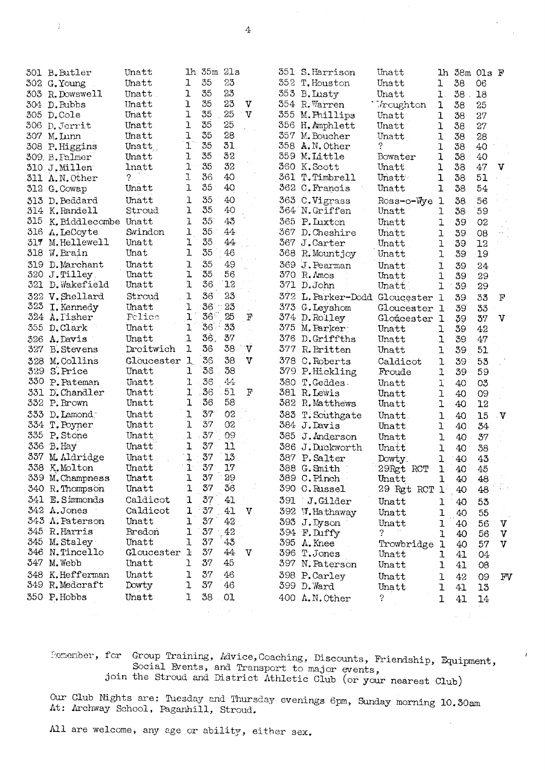| 310                      | 301 B.Butler<br>302 G. Young<br>303 R. Dowswell<br>304 D. Bubbs<br>305 D.Cole<br>306 D. Jerrit<br>307 M. Lunn<br>308 P.Higgins<br>309. B. Falmer<br>J.Millen | Unatt<br>Unatt<br>Unatt<br>Unatt<br>Unatt<br>Unatt<br>Unatt<br>Unatt<br>Unatt<br>lnatt | ı<br>ı<br>ı<br>$\mathbf 1$<br>1<br>ı<br>$\mathbf 1$<br>ı<br>J. | lh 35m 21s<br>35<br>35<br>35<br>35<br>35<br>35<br>35<br>35<br>35 | 23<br>23<br>23<br>25<br>25<br>28<br>31<br>32<br>32 | V<br>$\mathbf v$ | 358.       | 351 S. Harrison<br>352 T. Houston<br>353 B. Lusty<br>354 R. Warren<br>355 M. Phillips<br>356 H.Amphlett<br>357 M. Boucher<br>A.N. Other<br>359 M.Little<br>360 K.Scott | Unatt<br>Unatt<br>Unatt<br>Troughton<br>Unatt<br>Unatt<br>Unatt<br>7<br>Bowater<br>Unatt | ı<br>$\mathbf{1}$ .<br>1<br>1<br>ı<br>ı<br>1<br>ı<br>ı | $1h$ 38m $01s$ $F$<br>38<br>$38$ .<br>38<br>38<br>38<br>38<br>38<br>38<br>38 | 06<br>18<br>25<br>27<br>27<br>28<br>40<br>40<br>47 | V                     |
|--------------------------|--------------------------------------------------------------------------------------------------------------------------------------------------------------|----------------------------------------------------------------------------------------|----------------------------------------------------------------|------------------------------------------------------------------|----------------------------------------------------|------------------|------------|------------------------------------------------------------------------------------------------------------------------------------------------------------------------|------------------------------------------------------------------------------------------|--------------------------------------------------------|------------------------------------------------------------------------------|----------------------------------------------------|-----------------------|
| 312                      | 311 A.N. Other<br>G. Cowap                                                                                                                                   | 2<br>Unatt                                                                             | ı<br>ı                                                         | 36<br>35                                                         | 40<br>40                                           |                  |            | 361 T. Timbrell<br>362 C. Francis                                                                                                                                      | Unatt<br>Unatt                                                                           | 1<br>$\mathbf{I}$                                      | 38<br>38                                                                     | 51<br>54                                           |                       |
| 313<br>314<br>315        | D. Beddard<br>K.Randell<br>K. Biddlecombe Unatt<br>316 A. LeCoyte                                                                                            | Unatt<br>Stroud<br>Swindon                                                             | 1<br>ı<br>ı<br>ı                                               | 35<br>35<br>35 <sup>°</sup><br>35                                | 40<br>40<br>43<br>44                               |                  |            | 363 C.Vigrass<br>364 N.Griffen<br>365 P. Luxton<br>367 D. Cheshire                                                                                                     | Ross-o-Wye<br>Unatt<br>Unatt<br>Unatt                                                    | ı<br>ı<br>ı<br>ı                                       | 38<br>38<br>39<br>39                                                         | 56<br>59<br>02<br>08                               |                       |
|                          | 317 M. Hellewell<br>318 W. Brain                                                                                                                             | Unatt<br>Unat                                                                          | ı<br>ı                                                         | 35<br>35                                                         | 44<br>46                                           |                  |            | 367 J.Carter<br>368 R. Mountjoy                                                                                                                                        | Unatt<br>Unatt                                                                           | 1<br>1                                                 | 39<br>39                                                                     | 12<br>19                                           |                       |
| 319<br>321               | D. Marchant<br>320 J.Tilley<br>D. Wakefield                                                                                                                  | Unatt<br>Unatt<br>Unatt                                                                | ı<br>ı<br>ı                                                    | 35<br>35<br>36                                                   | 49<br>56<br>12                                     |                  |            | 369 J. Pearman<br>370 R. Anos<br>371 D.John                                                                                                                            | Unatt<br>Unatt<br>Unatt                                                                  | ı<br>1<br>1                                            | 39<br>39<br>39                                                               | 24<br>29<br>29                                     |                       |
| 323                      | 322 V. Shellard<br>I. Kennedy<br>324 A. Tisher                                                                                                               | Stroud<br>Unatt<br>Polico                                                              | ı<br>ı<br>$\mathbf{I}$                                         | 36<br>36<br>$36^\circ$                                           | 23<br>23<br>25                                     | F                | 372        | L. Parker-Dodd Gloucester 1<br>373 G. Leyshom<br>374 D.Rolley                                                                                                          | Gloucester 1<br>Gloucester 1                                                             |                                                        | 39<br>39<br>39                                                               | 33<br>33<br>37                                     | $_{\rm F}$<br>ν       |
| 355<br>326<br>327        | D.Clark<br>A. Davis<br><b>B.</b> Stevens                                                                                                                     | Unatt<br>Unatt<br>Droitwich                                                            | ŀ<br>ı<br>ı                                                    | 36<br>36.<br>36                                                  | 33<br>37<br>38                                     | $\mathbf{v}$     | 375<br>377 | M. Parker<br>376 D.Griffths<br>R. Britten                                                                                                                              | Unatt<br>Unatt<br>Unatt.                                                                 | ı<br>ı<br>ı                                            | 39<br>39<br>39                                                               | 42<br>47<br>51                                     |                       |
| 328<br>329<br>330<br>331 | M.Collins<br>S. Price<br>P. Pateman<br>D. Chandler                                                                                                           | Gloucester<br>Unatt<br>Unatt<br>Unatt                                                  | 1<br>ı<br>1<br>ľ                                               | 36<br>36<br>36<br>36                                             | 38<br>38<br>44<br>51                               | $\mathbf v$<br>F |            | 378 C. Roberts<br>379 P.Hickling<br>380 T.Geddes<br>381 R. Lewis                                                                                                       | Caldicot<br>Froude<br>Unatt                                                              | ı<br>1<br>ľ                                            | 39<br>39<br>40                                                               | 53<br>59<br>O <sub>3</sub>                         |                       |
| 332                      | P. Brown                                                                                                                                                     | Unatt                                                                                  | 1                                                              | 36                                                               | 58                                                 |                  |            | 382 R. Matthews                                                                                                                                                        | Unatt<br>Unatt                                                                           | ı<br>1                                                 | 40<br>40                                                                     | 09<br>12                                           |                       |
| 333<br>334               | D. Lamond.<br>T. Poyner                                                                                                                                      | Unatt<br>Unatt                                                                         | ı<br>ì                                                         | 37<br>37<br>37                                                   | 02<br>02                                           |                  | 383        | T. Southgate<br>384 J. Davis                                                                                                                                           | Unatt<br>Unatt                                                                           | 1<br>r                                                 | 40<br>40                                                                     | 15<br>34                                           | $\mathbf{V}$          |
| 335<br>336<br>337        | P. Stone<br>B. Hay<br>M. Aldridge                                                                                                                            | Unatt<br>Unatt<br>Unatt                                                                | 1<br>ı<br>$\mathbf{I}$                                         | 37<br>37                                                         | 09<br>11<br>13                                     |                  | 385        | J. Anderson<br>386 J.Duckworth<br>387 P. Salter                                                                                                                        | Unatt<br>Unatt<br>Dowty.                                                                 | ı<br>ı<br>ı                                            | 40<br>40<br>40                                                               | 37<br>38<br>43                                     |                       |
|                          | 338 K.Molton<br>339 M. Champness<br>340 R. Thompson                                                                                                          | Unatt<br>Unatt<br>Unatt                                                                | $1^{\circ}$<br>1<br>1                                          | 37<br>37<br>37                                                   | 17<br>29<br>36                                     |                  |            | 388 G. Smith<br>389 C.Pinch<br>390 C. Russel                                                                                                                           | 29Rgt RCT<br>Unatt<br>29 Rgt RCT                                                         | ı<br>1<br>$\mathbf{1}$                                 | 40<br>40<br>40                                                               | 45<br>48<br>48                                     |                       |
|                          | 341 E. Simmonds<br>342 A.Jones<br>343 A. Paterson                                                                                                            | Caldicot<br>Caldicot<br>Unatt                                                          | ı<br>1<br>ı                                                    | 37<br>37<br>37                                                   | 41<br>41<br>42                                     | v                |            | 391 J.Gilder<br>392 W. Hathaway<br>393 J.Dyson                                                                                                                         | Unatt<br>Unatt                                                                           | ı<br>ı                                                 | 40<br>40                                                                     | 55<br>55                                           |                       |
|                          | 345 R. Harris<br>345 M. Staley<br>346 N.Tincello                                                                                                             | Bredon<br>Unatt<br>Gloucester                                                          | 1<br>1<br>ŀ                                                    | 37<br>37<br>37                                                   | 42<br>43<br>44                                     | V                |            | 394 F.Duffy<br>395 A. Knee<br>396 T.Jones                                                                                                                              | Unatt<br>?<br>Trowbridge<br>Unatt                                                        | ı<br>ı<br>1<br>ı                                       | 40<br>40<br>40<br>41                                                         | 56<br>56<br>57<br>04                               | V<br>$\mathbf v$<br>V |
| 347<br>348               | M. Webb<br>K.Hefferman                                                                                                                                       | Unatt<br>Unatt                                                                         | 1<br>ı                                                         | 37<br>37                                                         | 45<br>46                                           |                  |            | 397 N. Paterson<br>398 P.Carley                                                                                                                                        | Unatt                                                                                    | 1                                                      | 41                                                                           | 08                                                 |                       |
| 349                      | R.Medcraft<br>350 P.Hobbs                                                                                                                                    | Dowty<br>Unatt                                                                         | ı<br>1                                                         | 37<br>38                                                         | 46<br>01                                           |                  |            | 399 D. Ward<br>400 A.N. Other                                                                                                                                          | Unatt<br>Unatt<br>?                                                                      | l<br>1<br>ı                                            | 42<br>41<br>41                                                               | 09<br>13<br>14                                     | FV                    |

 $\overline{4}$ 

Romenber, for Group Training, Advice, Coaching, Discounts, Friendship, Equipment, Social Events, and Transport to major events, herewisely,  $\mu_{\mu}$ ,  $\mu_{\mu}$ , social Events, and Transport to major events,

 $\lambda \in \mathcal{X} \times \mathcal{X}$ 

 $\overline{1}$ 

Our Club Nights are: Tuesday and Thursday evenings 6pm, Sunday morning 10.30am At: Archway School, Paganhill, Stroud.

All are welcome, any age or ability, either sex.

þ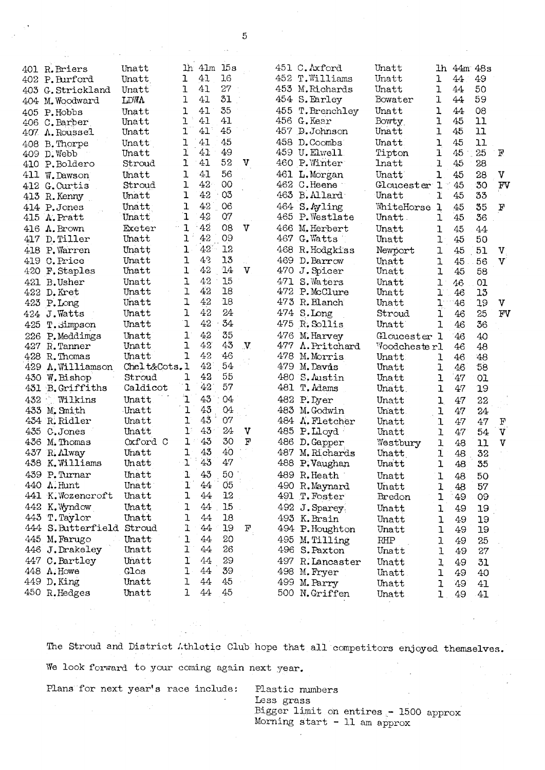|     | 401 R. Briers               | Unatt        | lh.                  | 41m  | 15s            |              |     | 451 C. Axford                   | Unatt        |                   | lh 44m 48s |          |              |
|-----|-----------------------------|--------------|----------------------|------|----------------|--------------|-----|---------------------------------|--------------|-------------------|------------|----------|--------------|
|     | 402 P.Burford               | Unatt        | 1                    | 41   | 16             |              |     | 452 T. Williams                 | Unatt        | ı                 | 44         | 49       |              |
|     |                             | Unatt        | 1                    | 41   | 27             |              |     | 453 M.Richards                  | Unatt        | ı                 | 44         | 50       |              |
|     | 403 G. Strickland           | LDWA         | $\mathbf 1$          | 41   | 31             |              |     | 454 S. Earley                   | Bowater      | 1                 | 44         | 59       |              |
|     | 404 M.Woodward              |              |                      | 41   | 35             |              |     |                                 |              |                   |            |          |              |
|     | 405 P.Hobbs                 | Unatt        | ı<br>$\mathbf 1$     | 41   | 41             |              |     | 455 T. Brenchley<br>456 G. Kear | Unatt        | $\mathbf 1$       | 44         | 08       |              |
|     | 406 C.Barber                | Unatt        | $\mathbf{I}$         | 41   | 45             |              |     | 457 D. Johnson                  | Bowty.       | 1<br>$\mathbf 1$  | 45<br>45   | 11<br>11 |              |
|     | 407 A.Roussel               | Unatt        |                      |      |                |              |     |                                 | Unatt        |                   |            |          |              |
|     | 408 B. Thorpe               | Unatt        | ı                    | 41   | 45             |              |     | 458 D. Coombs                   | Unatt        | ı                 | 45         | 11       |              |
|     | 409 D. Webb                 | Unatt        | ľ                    | 41   | 49             |              |     | 459 U.Elwell                    | Tipton       | ı                 | $45 -$     | 25       | $\mathbf F$  |
|     | 410 P.Boldero               | Stroud       | 1                    | 41   | 52             | $\mathbf v$  |     | 460 P. Winter                   | Inatt        | 1                 | 45         | 28       |              |
|     | 411 W.Dawson                | Unatt        | ı                    | 41   | 56             |              |     | 461 L. Morgan                   | Unatt        | ı                 | 45         | 28       | $\mathbf v$  |
|     | 412 G.Curtis                | Stroud       | ı                    | 42   | 00             |              |     | 462 C.Heene                     | Gloucester 1 |                   | 45         | 30       | FV           |
|     | 413 R. Kenny                | Unatt        | $\mathbf 1$          | 42   | 03             |              |     | 463 B.Allard                    | Unatt        | ľ                 | 45         | 33       |              |
|     | 414 P.Jones                 | Unatt        | ı                    | 42   | 06             |              |     | 464 S.Ayling                    | WhiteHorse   | 1                 | 45         | 35       | $\mathbf F$  |
|     | $415$ $\Lambda$ . Pratt     | Unatt        | 1                    | 42   | O(7)           |              |     | 465 P. Westlate                 | Unatt.       | 1                 | 45         | 36       |              |
| 416 | A. Brown                    | Exeter       | $\mathbf{1}$         | 42   | 08             | v            |     | 466 M. Herbert                  | Unatt        | ı                 | 45         | 44       |              |
|     | 417 D. Tiller               | Unatt        | ı                    | 42   | 09             |              |     | 467 G. Watts                    | Unatt        | ı                 | 45         | 50       |              |
|     | 418 P. Warren               | Unatt        | ľ                    | 42   | 12             |              |     | 468 R. Hodgkiss                 | Newport      | ı                 | 45         | 51       | $\mathbf{V}$ |
|     | 419 C. Price                | Unatt        | ı                    | 43   | 13             |              |     | 469 D. Barrow                   | Unatt        | ı                 | 45         | 56       | $\mathbf{V}$ |
|     | 420 F. Staples              | Unatt        | $\mathbf 1$          | 42   | 14             | $\mathbf{V}$ |     | 470 J. Spicer                   | Unatt        | ı                 | 45         | 58       |              |
|     | 421 B.Usher                 | Unatt        | ı                    | 42   | 15             |              |     | 471 S. Waters                   | Unatt        | ı                 | 46         | 01       |              |
|     | 422 D. Kret                 | Unatt        | ı                    | 42   | 18             |              |     | 472 P.McClure                   | Unatt        | ı                 | 46         | 13       |              |
|     | 423 P.Long                  | Unatt        | ı                    | 42   | 18             |              |     | 473 R. Blanch                   | Unatt        | Ţ.                | 46         | 19       | $\mathbf v$  |
| 424 | J. Watts                    | Unatt        | $\mathbf{I}$         | 42   | 24             |              |     | 474 S.Long                      | Stroud       | ï                 | 46         | 25       | FV           |
|     | 425 T. Simpson              | Unatt        | $\mathbf 1$          | 42   | 34             |              |     | 475 R. Sollis                   | Unatt        | $\mathbf{I}$      | 46         | 36       |              |
|     | 226 P.Meddimgs              | Unatt        | 1                    | 42   | 35             |              |     | 476 M. Harvey                   | Gloucester 1 |                   | 46         | 40       |              |
|     | 427 R.Tanner                | Unatt        | ı                    | 42   | 43             | $\mathbf{V}$ | 477 | A. Pritchard                    | Woodchester1 |                   | 46         | 48       |              |
|     | 428 R. Thomas               | Unatt        | 1                    | 42   | 46             |              |     | 478 M. Morris                   | Unatt        | 1                 | 46         | 48       |              |
|     | 429 A. Williamson           | Chelt&Cots.1 |                      | 42   | 54             |              |     | 479 M. Davis                    | Unatt        | 1                 | 46         | 58       |              |
|     | 430 W. Bishop               | Stroud       | ı                    | 42   | 55             |              |     | 480 S. Austin                   | Unatt        | ı                 | 47         | OI.      |              |
|     | 431 B. Griffiths            | Caldicot     | 1                    | 42   | 57             |              |     | 481 T. Adams                    | Unatt.       | ľ                 | 47         | 19       |              |
| 432 | Wilkins                     | Unatt        | ʻı                   | 43   | 04             |              |     | 482 P.Dyer                      | Unatt        | 1                 | 47         | 22       |              |
|     | 433 M. Smith                | Unatt        | ı                    | 43   | Q <sub>4</sub> |              |     | 483 M. Godwin                   | Unatt.       | ı                 | 47         | 24       |              |
|     | 434 R. Ridler               | Unatt        | ı                    | 43   | 07             |              |     | 484 $\Lambda$ . Fletcher        | Unatt        | $\mathbf{I}$      | 47         | 47       | $\mathbf F$  |
| 435 | C.Jones                     | Unatt        | $\mathbf{1}^{\cdot}$ | 43   | 24             | V            |     | 485 P.Lloyd                     | Unatt        | 1                 | 47         | 54       | $\mathbf{V}$ |
|     | 436 M. Thomas               | Oxford C     | ı                    | 43   | 30             | F            | 486 |                                 |              |                   |            |          | $\mathbf{V}$ |
| 437 |                             | Unatt        | 1                    | 43   | 40             |              | 487 | D. Gapper<br>M. Richards        | Westbury     | 1                 | 48         | 11       |              |
|     | R. Alway<br>438 K. Williams | Unatt        | $\mathbf{1}$         | 43   | 47             |              |     |                                 | Unatt        | 1<br>$\mathbf{I}$ | 48         | 32       |              |
|     |                             | Unatt        |                      |      |                |              |     | 488 P.Vaughan                   | Unatt        |                   | 48         | 35       |              |
|     | 439 P.Turnar                |              | ı                    | 43   | 50             |              |     | 489 R. Heath                    | Unatt        | ı                 | 48         | 50       |              |
|     | 440 A. Hunt                 | Unatt        | ľ                    | 44   | O <sub>5</sub> |              |     | 490 R.Maynard                   | Unatt        | 1                 | 48         | 57       |              |
|     | 441 K. Wozencroft           | Unatt        | ı                    | 44   | 12             |              |     | 491 T. Foster                   | Bredon       | ı                 | 49         | 09       |              |
|     | 442 K. Wyndow               | Unatt        | ı                    | 44   | 15             |              |     | 492 J. Sparey                   | Unatt        | 1                 | 49         | 19       |              |
|     | 443 T. Taylor               | Unatt        | ı                    | 44   | 18             |              |     | 493 K. Brain                    | Unatt        | ı                 | 49         | 19       |              |
|     | 444 S. Butterfield Stroud   |              | 1                    | 44   | 19             | $\mathbf F$  |     | 494 P. Houghton                 | Unatt        | ı                 | 49         | 19       |              |
|     | 445 M. Farugo               | Unatt        | ı                    | 44   | 20             |              |     | 495 M. Tilling                  | RHP          | 1                 | 49         | 25       |              |
|     | 446 J.Drakeley              | Unatt        | ľ                    | 44   | 26             |              |     | 496 S. Paxton                   | Unatt        | 1                 | 49         | 27       |              |
|     | 447 C. Bartley              | Unatt        | ľ                    | $44$ | 29             |              |     | 497 R. Lancaster                | Unatt        | 1                 | 49         | 31       |              |
|     | 448 A.Howe                  | Glos         | ı                    | 44   | 39             |              |     | 498 M. Fryer                    | Unatt        | ı                 | 49         | 40       |              |
|     | 449 D. King                 | Unatt        | ı                    | 44   | 45             |              |     | 499 M. Parry                    | Unatt        | ı                 | 49         | 41       |              |
|     | 450 R.Hedges                | Unatt        | ı                    | 44   | 45             |              |     | 500 N.Griffen                   | Unatt        | ı                 | 49         | 41       |              |

The Stroud and District Athletic Club hope that all competitors enjoyed themselves. We look forward to your coming again next year. Plans for next year's race include: Plastic numbers

 $\mathbb{R}^2\mathbb{Z}$  .

Less grass Bigger limit on entires - 1500 approx Morning start - 11 am approx

5